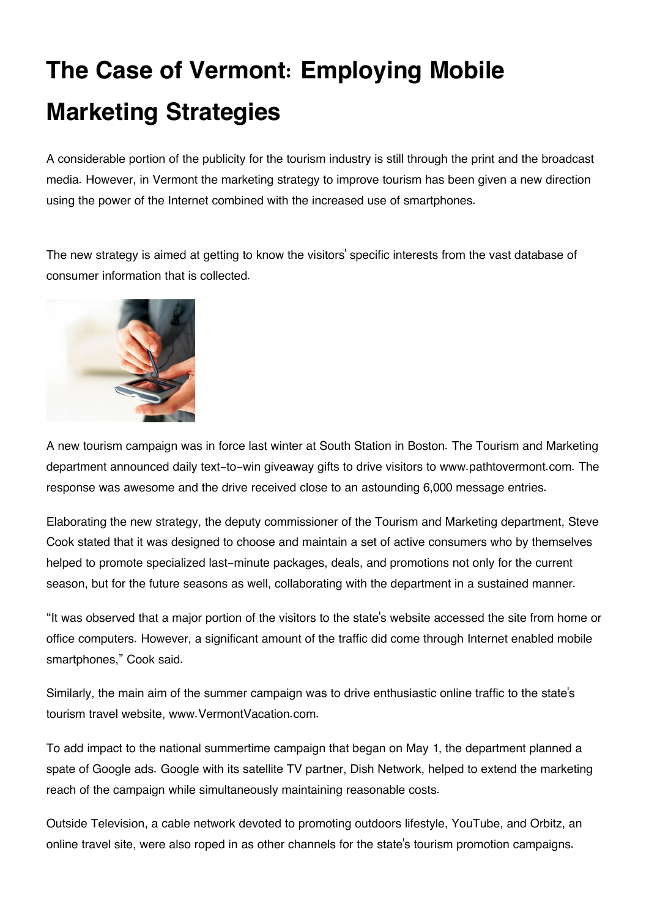## **The Case of Vermont: Employing Mobile Marketing Strategies**

A considerable portion of the publicity for the tourism industry is still through the print and the broadcast media. However, in Vermont the marketing strategy to improve tourism has been given a new direction using the power of the Internet combined with the increased use of smartphones.

The new strategy is aimed at getting to know the visitors' specific interests from the vast database of consumer information that is collected.



A new tourism campaign was in force last winter at South Station in Boston. The Tourism and Marketing department announced daily text-to-win giveaway gifts to drive visitors to www.pathtovermont.com. The response was awesome and the drive received close to an astounding 6,000 message entries.

Elaborating the new strategy, the deputy commissioner of the Tourism and Marketing department, Steve Cook stated that it was designed to choose and maintain a set of active consumers who by themselves helped to promote specialized last-minute packages, deals, and promotions not only for the current season, but for the future seasons as well, collaborating with the department in a sustained manner.

"It was observed that a major portion of the visitors to the state's website accessed the site from home or office computers. However, a significant amount of the traffic did come through Internet enabled mobile smartphones," Cook said.

Similarly, the main aim of the summer campaign was to drive enthusiastic online traffic to the state's tourism travel website, www.VermontVacation.com.

To add impact to the national summertime campaign that began on May 1, the department planned a spate of Google ads. Google with its satellite TV partner, Dish Network, helped to extend the marketing reach of the campaign while simultaneously maintaining reasonable costs.

Outside Television, a cable network devoted to promoting outdoors lifestyle, YouTube, and Orbitz, an online travel site, were also roped in as other channels for the state's tourism promotion campaigns.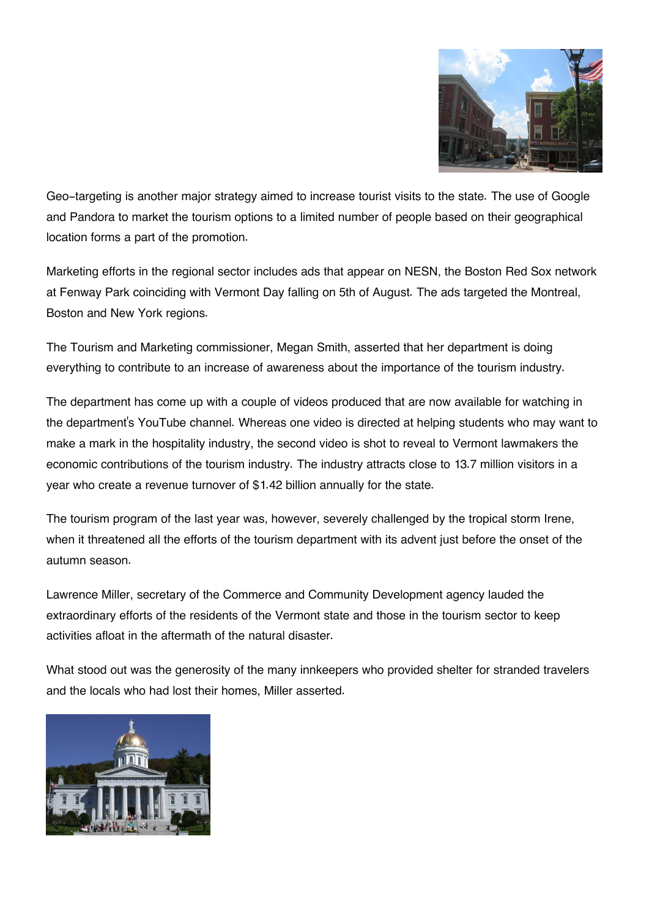

Geo-targeting is another major strategy aimed to increase tourist visits to the state. The use of Google and Pandora to market the tourism options to a limited number of people based on their geographical location forms a part of the promotion.

Marketing efforts in the regional sector includes ads that appear on NESN, the Boston Red Sox network at Fenway Park coinciding with Vermont Day falling on 5th of August. The ads targeted the Montreal, Boston and New York regions.

The Tourism and Marketing commissioner, Megan Smith, asserted that her department is doing everything to contribute to an increase of awareness about the importance of the tourism industry.

The department has come up with a couple of videos produced that are now available for watching in the department's YouTube channel. Whereas one video is directed at helping students who may want to make a mark in the hospitality industry, the second video is shot to reveal to Vermont lawmakers the economic contributions of the tourism industry. The industry attracts close to 13.7 million visitors in a year who create a revenue turnover of \$1.42 billion annually for the state.

The tourism program of the last year was, however, severely challenged by the tropical storm Irene, when it threatened all the efforts of the tourism department with its advent just before the onset of the autumn season.

Lawrence Miller, secretary of the Commerce and Community Development agency lauded the extraordinary efforts of the residents of the Vermont state and those in the tourism sector to keep activities afloat in the aftermath of the natural disaster.

What stood out was the generosity of the many innkeepers who provided shelter for stranded travelers and the locals who had lost their homes, Miller asserted.